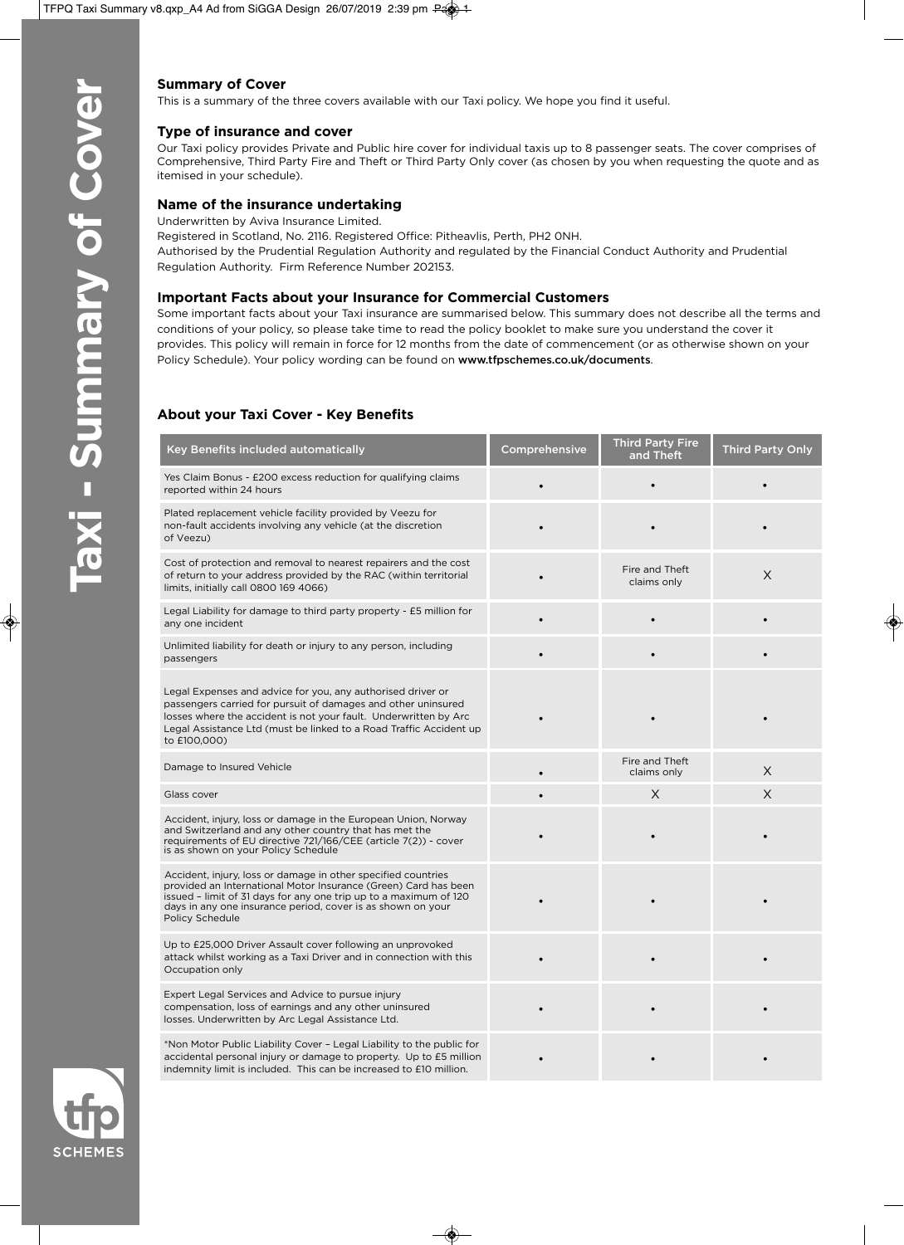# **Summary of Cover**

This is a summary of the three covers available with our Taxi policy. We hope you find it useful.

#### **Type of insurance and cover**

Our Taxi policy provides Private and Public hire cover for individual taxis up to 8 passenger seats. The cover comprises of Comprehensive, Third Party Fire and Theft or Third Party Only cover (as chosen by you when requesting the quote and as itemised in your schedule).

#### **Name of the insurance undertaking**

Underwritten by Aviva Insurance Limited.

Registered in Scotland, No. 2116. Registered Office: Pitheavlis, Perth, PH2 0NH. Authorised by the Prudential Regulation Authority and regulated by the Financial Conduct Authority and Prudential Regulation Authority. Firm Reference Number 202153.

#### **Important Facts about your Insurance for Commercial Customers**

Some important facts about your Taxi insurance are summarised below. This summary does not describe all the terms and conditions of your policy, so please take time to read the policy booklet to make sure you understand the cover it provides. This policy will remain in force for 12 months from the date of commencement (or as otherwise shown on your Policy Schedule). Your policy wording can be found on www.tfpschemes.co.uk/documents.

# **About your Taxi Cover - Key Benefits**

| Key Benefits included automatically                                                                                                                                                                                                                                                     | Comprehensive | <b>Third Party Fire</b><br>and Theft | <b>Third Party Only</b> |
|-----------------------------------------------------------------------------------------------------------------------------------------------------------------------------------------------------------------------------------------------------------------------------------------|---------------|--------------------------------------|-------------------------|
| Yes Claim Bonus - £200 excess reduction for qualifying claims<br>reported within 24 hours                                                                                                                                                                                               |               |                                      |                         |
| Plated replacement vehicle facility provided by Veezu for<br>non-fault accidents involving any vehicle (at the discretion<br>of Veezu)                                                                                                                                                  |               |                                      |                         |
| Cost of protection and removal to nearest repairers and the cost<br>of return to your address provided by the RAC (within territorial<br>limits, initially call 0800 169 4066)                                                                                                          |               | Fire and Theft<br>claims only        | X                       |
| Legal Liability for damage to third party property - £5 million for<br>any one incident                                                                                                                                                                                                 |               |                                      |                         |
| Unlimited liability for death or injury to any person, including<br>passengers                                                                                                                                                                                                          |               |                                      |                         |
| Legal Expenses and advice for you, any authorised driver or<br>passengers carried for pursuit of damages and other uninsured<br>losses where the accident is not your fault. Underwritten by Arc<br>Legal Assistance Ltd (must be linked to a Road Traffic Accident up<br>to £100,000)  |               |                                      |                         |
| Damage to Insured Vehicle                                                                                                                                                                                                                                                               |               | Fire and Theft<br>claims only        | X                       |
| Glass cover                                                                                                                                                                                                                                                                             |               | X                                    | $\times$                |
| Accident, injury, loss or damage in the European Union, Norway<br>and Switzerland and any other country that has met the<br>requirements of EU directive 721/166/CEE (article 7(2)) - cover<br>is as shown on your Policy Schedule                                                      |               |                                      |                         |
| Accident, injury, loss or damage in other specified countries<br>provided an International Motor Insurance (Green) Card has been<br>issued - limit of 31 days for any one trip up to a maximum of 120<br>days in any one insurance period, cover is as shown on your<br>Policy Schedule |               |                                      |                         |
| Up to £25,000 Driver Assault cover following an unprovoked<br>attack whilst working as a Taxi Driver and in connection with this<br>Occupation only                                                                                                                                     |               |                                      |                         |
| Expert Legal Services and Advice to pursue injury<br>compensation, loss of earnings and any other uninsured<br>losses. Underwritten by Arc Legal Assistance Ltd.                                                                                                                        |               |                                      |                         |
| *Non Motor Public Liability Cover - Legal Liability to the public for<br>accidental personal injury or damage to property. Up to £5 million<br>indemnity limit is included. This can be increased to £10 million.                                                                       |               |                                      |                         |

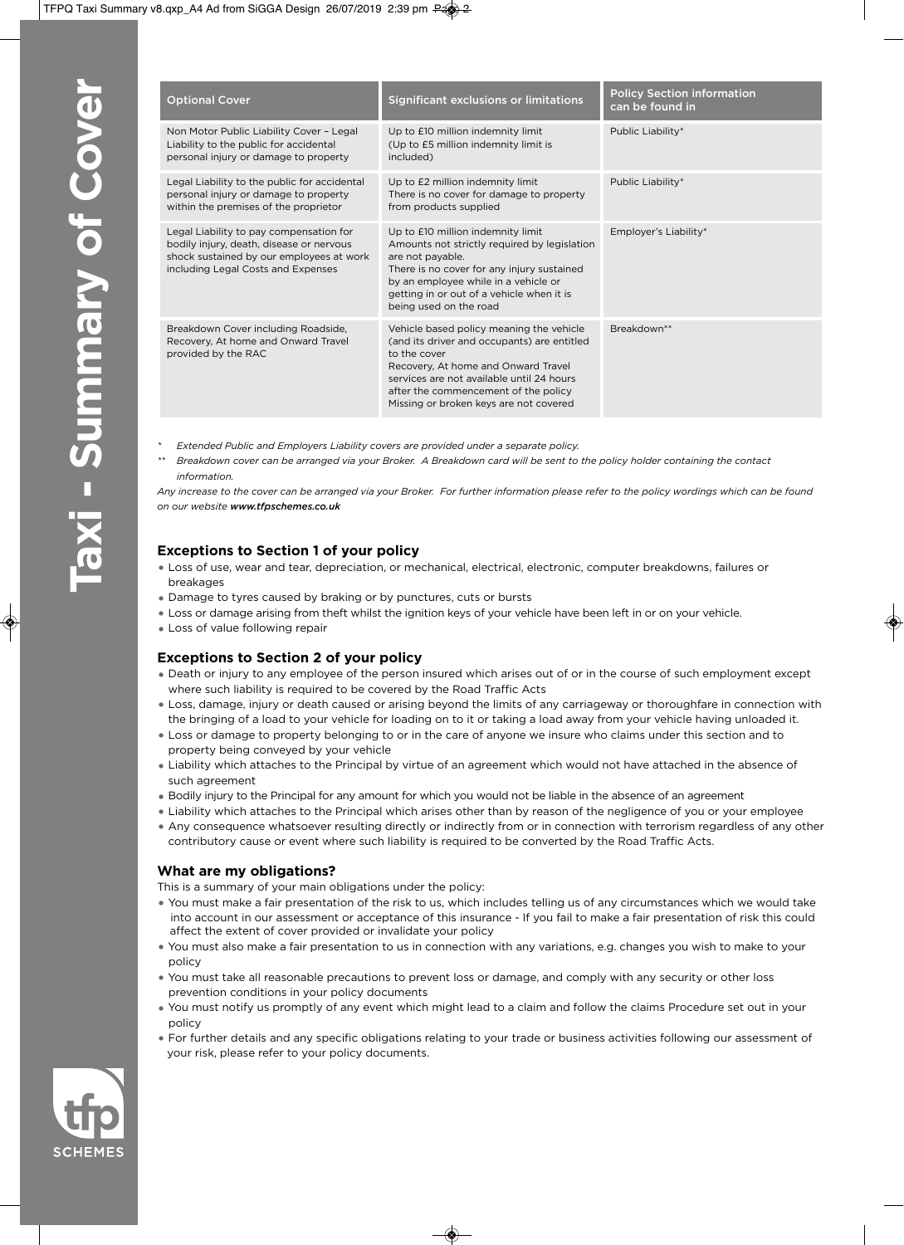| <b>Optional Cover</b>                                                                                                                                                 | <b>Significant exclusions or limitations</b>                                                                                                                                                                                                                                  | <b>Policy Section information</b><br>can be found in |
|-----------------------------------------------------------------------------------------------------------------------------------------------------------------------|-------------------------------------------------------------------------------------------------------------------------------------------------------------------------------------------------------------------------------------------------------------------------------|------------------------------------------------------|
| Non Motor Public Liability Cover - Legal<br>Liability to the public for accidental<br>personal injury or damage to property                                           | Up to £10 million indemnity limit<br>(Up to £5 million indemnity limit is<br>included)                                                                                                                                                                                        | Public Liability*                                    |
| Legal Liability to the public for accidental<br>personal injury or damage to property<br>within the premises of the proprietor                                        | Up to £2 million indemnity limit<br>There is no cover for damage to property<br>from products supplied                                                                                                                                                                        | Public Liability*                                    |
| Legal Liability to pay compensation for<br>bodily injury, death, disease or nervous<br>shock sustained by our employees at work<br>including Legal Costs and Expenses | Up to £10 million indemnity limit<br>Amounts not strictly required by legislation<br>are not payable.<br>There is no cover for any injury sustained<br>by an employee while in a vehicle or<br>getting in or out of a vehicle when it is<br>being used on the road            | Employer's Liability*                                |
| Breakdown Cover including Roadside,<br>Recovery, At home and Onward Travel<br>provided by the RAC                                                                     | Vehicle based policy meaning the vehicle<br>(and its driver and occupants) are entitled<br>to the cover<br>Recovery, At home and Onward Travel<br>services are not available until 24 hours<br>after the commencement of the policy<br>Missing or broken keys are not covered | Breakdown**                                          |

- *\* Extended Public and Employers Liability covers are provided under a separate policy.*
- *\*\* Breakdown cover can be arranged via your Broker. A Breakdown card will be sent to the policy holder containing the contact information.*

*Any increase to the cover can be arranged via your Broker. For further information please refer to the policy wordings which can be found on our website www.tfpschemes.co.uk*

## **Exceptions to Section 1 of your policy**

- Loss of use, wear and tear, depreciation, or mechanical, electrical, electronic, computer breakdowns, failures or breakages
- Damage to tyres caused by braking or by punctures, cuts or bursts
- Loss or damage arising from theft whilst the ignition keys of your vehicle have been left in or on your vehicle.
- Loss of value following repair

# **Exceptions to Section 2 of your policy**

- Death or injury to any employee of the person insured which arises out of or in the course of such employment except where such liability is required to be covered by the Road Traffic Acts
- Loss, damage, injury or death caused or arising beyond the limits of any carriageway or thoroughfare in connection with the bringing of a load to your vehicle for loading on to it or taking a load away from your vehicle having unloaded it.
- Loss or damage to property belonging to or in the care of anyone we insure who claims under this section and to property being conveyed by your vehicle
- Liability which attaches to the Principal by virtue of an agreement which would not have attached in the absence of such agreement
- Bodily injury to the Principal for any amount for which you would not be liable in the absence of an agreement
- Liability which attaches to the Principal which arises other than by reason of the negligence of you or your employee
- Any consequence whatsoever resulting directly or indirectly from or in connection with terrorism regardless of any other contributory cause or event where such liability is required to be converted by the Road Traffic Acts.

## **What are my obligations?**

This is a summary of your main obligations under the policy:

- You must make a fair presentation of the risk to us, which includes telling us of any circumstances which we would take into account in our assessment or acceptance of this insurance - If you fail to make a fair presentation of risk this could affect the extent of cover provided or invalidate your policy
- You must also make a fair presentation to us in connection with any variations, e.g. changes you wish to make to your policy
- You must take all reasonable precautions to prevent loss or damage, and comply with any security or other loss prevention conditions in your policy documents
- You must notify us promptly of any event which might lead to a claim and follow the claims Procedure set out in your policy
- For further details and any specific obligations relating to your trade or business activities following our assessment of your risk, please refer to your policy documents.